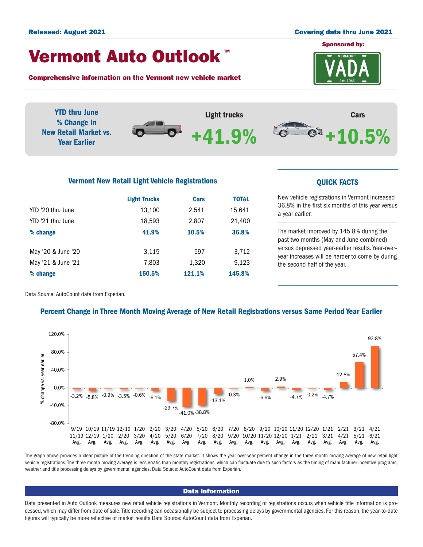#### Released: August 2021 Covering data thru June 2021

# Vermont Auto Outlook TM

Comprehensive information on the Vermont new vehicle market



YTD thru June Light trucks Cars % Change In  $\circ$   $\circ$  $\bm{\Theta}$ New Retail Market vs. +10.5% +41.9%Year Earlier Vermont New Retail Light Vehicle Registrations **COVID-10** COVICK FACTS

|                    | <b>Light Trucks</b> | Cars   | <b>TOTAL</b> |
|--------------------|---------------------|--------|--------------|
| YTD '20 thru June  | 13,100              | 2,541  | 15,641       |
| YTD '21 thru June  | 18,593              | 2,807  | 21,400       |
| % change           | 41.9%               | 10.5%  | 36.8%        |
| May '20 & June '20 | 3,115               | 597    | 3,712        |
| May '21 & June '21 | 7,803               | 1,320  | 9,123        |
| % change           | 150.5%              | 121.1% | 145.8%       |

New vehicle registrations in Vermont increased 36.8% in the first six months of this year versus a year earlier.

The market improved by 145.8% during the past two months (May and June combined) versus depressed year-earlier results. Year-overyear increases will be harder to come by during the second half of the year.

Data Source: AutoCount data from Experian.

## Percent Change in Three Month Moving Average of New Retail Registrations versus Same Period Year Earlier



The graph above provides a clear picture of the trending direction of the state market. It shows the year-over-year percent change in the three month moving average of new retail light vehicle registrations. The three month moving average is less erratic than monthly registrations, which can fluctuate due to such factors as the timing of manufacturer incentive programs, weather and title processing delays by governmental agencies. Data Source: AutoCount data from Experian.

### Data Information

Data presented in Auto Outlook measures new retail vehicle registrations in Vermont. Monthly recording of registrations occurs when vehicle title information is processed, which may differ from date of sale. Title recording can occasionally be subject to processing delays by governmental agencies. For this reason, the year-to-date figures will typically be more reflective of market results Data Source: AutoCount data from Experian.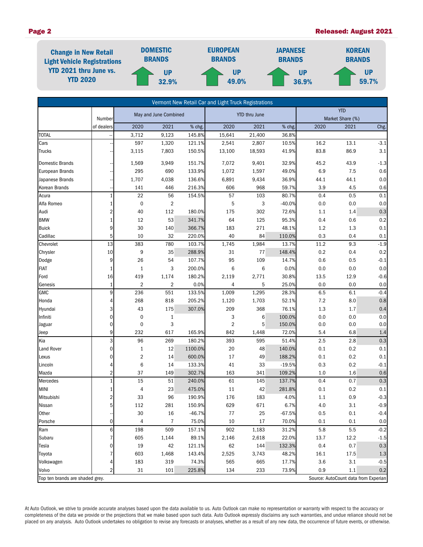### Page 2 Released: August 2021



|                                                                         |                |                         |                |                      | Vermont New Retail Car and Light Truck Registrations |                                |          |         |      |         |
|-------------------------------------------------------------------------|----------------|-------------------------|----------------|----------------------|------------------------------------------------------|--------------------------------|----------|---------|------|---------|
|                                                                         | Number         | May and June Combined   |                | <b>YTD thru June</b> |                                                      | <b>YTD</b><br>Market Share (%) |          |         |      |         |
|                                                                         | of dealers     | 2020                    | 2021           | % chg.               | 2020                                                 | 2021                           | % chg.   | 2020    | 2021 | Chg.    |
| <b>TOTAL</b>                                                            |                | 3,712                   | 9,123          | 145.8%               | 15,641                                               | 21,400                         | 36.8%    |         |      |         |
| Cars                                                                    |                | 597                     | 1,320          | 121.1%               | 2,541                                                | 2,807                          | 10.5%    | 16.2    | 13.1 | $-3.1$  |
| <b>Trucks</b>                                                           |                | 3,115                   | 7,803          | 150.5%               | 13,100                                               | 18,593                         | 41.9%    | 83.8    | 86.9 | $3.1\,$ |
| <b>Domestic Brands</b>                                                  |                | 1,569                   | 3,949          | 151.7%               | 7,072                                                | 9,401                          | 32.9%    | 45.2    | 43.9 | $-1.3$  |
| European Brands                                                         |                | 295                     | 690            | 133.9%               | 1,072                                                | 1,597                          | 49.0%    | 6.9     | 7.5  | 0.6     |
| Japanese Brands                                                         |                | 1,707                   | 4,038          | 136.6%               | 6,891                                                | 9,434                          | 36.9%    | 44.1    | 44.1 | $0.0\,$ |
| Korean Brands                                                           |                | 141                     | 446            | 216.3%               | 606                                                  | 968                            | 59.7%    | 3.9     | 4.5  | 0.6     |
| Acura                                                                   | $\mathbf{1}$   | 22                      | 56             | 154.5%               | 57                                                   | 103                            | 80.7%    | 0.4     | 0.5  | 0.1     |
| Alfa Romeo                                                              |                | $\pmb{0}$               | $\overline{2}$ |                      | 5                                                    | 3                              | $-40.0%$ | 0.0     | 0.0  | 0.0     |
| Audi                                                                    | 2              | 40                      | 112            | 180.0%               | 175                                                  | 302                            | 72.6%    | 1.1     | 1.4  | 0.3     |
| <b>BMW</b>                                                              |                | 12                      | 53             | 341.7%               | 64                                                   | 125                            | 95.3%    | 0.4     | 0.6  | 0.2     |
| <b>Buick</b>                                                            | 9              | 30                      | 140            | 366.7%               | 183                                                  | 271                            | 48.1%    | 1.2     | 1.3  | $0.1\,$ |
| Cadillac                                                                | 5              | 10                      | 32             | 220.0%               | 40                                                   | 84                             | 110.0%   | 0.3     | 0.4  | 0.1     |
| Chevrolet                                                               | 13             | 383                     | 780            | 103.7%               | 1,745                                                | 1,984                          | 13.7%    | 11.2    | 9.3  | $-1.9$  |
| Chrysler                                                                | 10             | 9                       | 35             | 288.9%               | 31                                                   | 77                             | 148.4%   | 0.2     | 0.4  | 0.2     |
| Dodge                                                                   | 9              | 26                      | 54             | 107.7%               | 95                                                   | 109                            | 14.7%    | 0.6     | 0.5  | $-0.1$  |
| <b>FIAT</b>                                                             | 1              | $\mathbf{1}$            | 3              | 200.0%               | $\,6$                                                | 6                              | 0.0%     | $0.0\,$ | 0.0  | 0.0     |
| Ford                                                                    | 16             | 419                     | 1,174          | 180.2%               | 2,119                                                | 2,771                          | 30.8%    | 13.5    | 12.9 | $-0.6$  |
| Genesis                                                                 | 1              | $\overline{2}$          | $\overline{2}$ | 0.0%                 | 4                                                    | 5                              | 25.0%    | 0.0     | 0.0  | $0.0\,$ |
| <b>GMC</b>                                                              | 9              | 236                     | 551            | 133.5%               | 1,009                                                | 1,295                          | 28.3%    | 6.5     | 6.1  | $-0.4$  |
| Honda                                                                   | 4              | 268                     | 818            | 205.2%               | 1,120                                                | 1,703                          | 52.1%    | 7.2     | 8.0  | $0.8\,$ |
| Hyundai                                                                 | 3              | 43                      | 175            | 307.0%               | 209                                                  | 368                            | 76.1%    | 1.3     | 1.7  | 0.4     |
| Infiniti                                                                | 0              | $\pmb{0}$               | 1              |                      | 3                                                    | 6                              | 100.0%   | 0.0     | 0.0  | 0.0     |
| Jaguar                                                                  | $\Omega$       | $\mathbf 0$             | 3              |                      | $\overline{2}$                                       | 5                              | 150.0%   | 0.0     | 0.0  | 0.0     |
| Jeep                                                                    | 9              | 232                     | 617            | 165.9%               | 842                                                  | 1,448                          | 72.0%    | 5.4     | 6.8  | 1.4     |
| Kia                                                                     | 3              | 96                      | 269            | 180.2%               | 393                                                  | 595                            | 51.4%    | 2.5     | 2.8  | 0.3     |
| Land Rover                                                              | 0              | $1\,$                   | 12             | 1100.0%              | $20\,$                                               | 48                             | 140.0%   | 0.1     | 0.2  | $0.1\,$ |
| Lexus                                                                   | 0              | $\overline{\mathbf{c}}$ | 14             | 600.0%               | 17                                                   | 49                             | 188.2%   | 0.1     | 0.2  | 0.1     |
| Lincoln                                                                 | 4              | 6                       | 14             | 133.3%               | 41                                                   | 33                             | $-19.5%$ | 0.3     | 0.2  | $-0.1$  |
| Mazda                                                                   | 2              | 37                      | 149            | 302.7%               | 163                                                  | 341                            | 109.2%   | $1.0$   | 1.6  | 0.6     |
| Mercedes                                                                |                | 15                      | 51             | 240.0%               | 61                                                   | 145                            | 137.7%   | 0.4     | 0.7  | 0.3     |
| MINI                                                                    |                | 4                       | 23             | 475.0%               | 11                                                   | 42                             | 281.8%   | 0.1     | 0.2  | $0.1\,$ |
| Mitsubishi                                                              | 2              | 33                      | 96             | 190.9%               | 176                                                  | 183                            | 4.0%     | 1.1     | 0.9  | $-0.3$  |
| Nissan                                                                  | 5 <sup>1</sup> | 112                     | 281            | 150.9%               | 629                                                  | 671                            | 6.7%     | 4.0     | 3.1  | $-0.9$  |
| Other                                                                   |                | 30                      | 16             | $-46.7%$             | 77                                                   | 25                             | $-67.5%$ | 0.5     | 0.1  | $-0.4$  |
| Porsche                                                                 | $\overline{0}$ | 4                       | 7              | 75.0%                | 10                                                   | 17                             | 70.0%    | 0.1     | 0.1  | 0.0     |
| Ram                                                                     | 6              | 198                     | 509            | 157.1%               | 902                                                  | 1,183                          | 31.2%    | 5.8     | 5.5  | $-0.2$  |
| Subaru                                                                  | 7              | 605                     | 1,144          | 89.1%                | 2,146                                                | 2,618                          | 22.0%    | 13.7    | 12.2 | $-1.5$  |
| Tesla                                                                   | 0              | 19                      | 42             | 121.1%               | 62                                                   | 144                            | 132.3%   | 0.4     | 0.7  | $0.3\,$ |
| Toyota                                                                  |                | 603                     | 1,468          | 143.4%               | 2,525                                                | 3,743                          | 48.2%    | 16.1    | 17.5 | $1.3\,$ |
| Volkswagen                                                              |                | 183                     | 319            | 74.3%                | 565                                                  | 665                            | 17.7%    | 3.6     | 3.1  | $-0.5$  |
| Volvo                                                                   |                | 31                      | 101            | 225.8%               | 134                                                  | 233                            | 73.9%    | 0.9     | 1.1  | 0.2     |
| Top ten brands are shaded grey.<br>Source: AutoCount data from Experian |                |                         |                |                      |                                                      |                                |          |         |      |         |

At Auto Outlook, we strive to provide accurate analyses based upon the data available to us. Auto Outlook can make no representation or warranty with respect to the accuracy or completeness of the data we provide or the projections that we make based upon such data. Auto Outlook expressly disclaims any such warranties, and undue reliance should not be placed on any analysis. Auto Outlook undertakes no obligation to revise any forecasts or analyses, whether as a result of any new data, the occurrence of future events, or otherwise.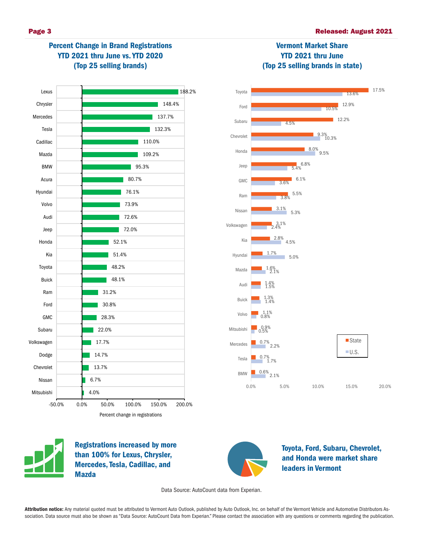



Percent change in registrations



Registrations increased by more than 100% for Lexus, Chrysler, Mercedes, Tesla, Cadillac, and Mazda



Toyota, Ford, Subaru, Chevrolet, and Honda were market share leaders in Vermont

Data Source: AutoCount data from Experian.

Attribution notice: Any material quoted must be attributed to Vermont Auto Outlook, published by Auto Outlook, Inc. on behalf of the Vermont Vehicle and Automotive Distributors Association. Data source must also be shown as "Data Source: AutoCount Data from Experian." Please contact the association with any questions or comments regarding the publication.

# Vermont Market Share YTD 2021 thru June (Top 25 selling brands in state)